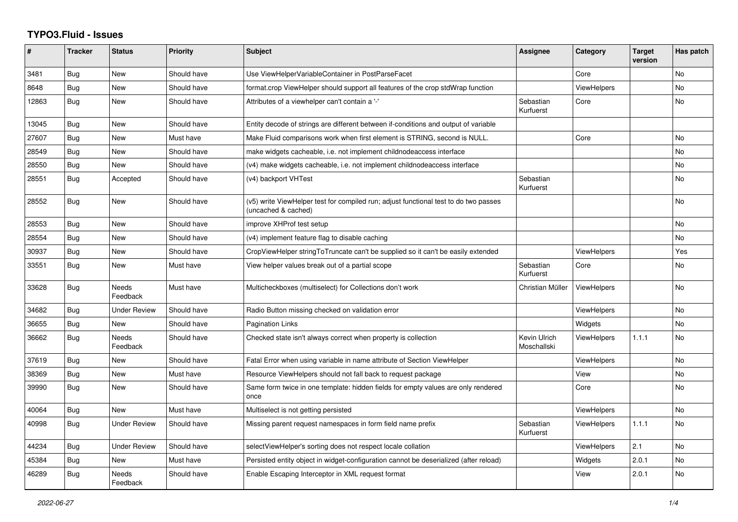## **TYPO3.Fluid - Issues**

| #     | <b>Tracker</b> | <b>Status</b>            | <b>Priority</b> | <b>Subject</b>                                                                                              | Assignee                    | Category           | <b>Target</b><br>version | Has patch |
|-------|----------------|--------------------------|-----------------|-------------------------------------------------------------------------------------------------------------|-----------------------------|--------------------|--------------------------|-----------|
| 3481  | <b>Bug</b>     | New                      | Should have     | Use ViewHelperVariableContainer in PostParseFacet                                                           |                             | Core               |                          | No        |
| 8648  | Bug            | New                      | Should have     | format.crop ViewHelper should support all features of the crop stdWrap function                             |                             | <b>ViewHelpers</b> |                          | <b>No</b> |
| 12863 | Bug            | New                      | Should have     | Attributes of a viewhelper can't contain a '-'                                                              | Sebastian<br>Kurfuerst      | Core               |                          | <b>No</b> |
| 13045 | Bug            | New                      | Should have     | Entity decode of strings are different between if-conditions and output of variable                         |                             |                    |                          |           |
| 27607 | Bug            | New                      | Must have       | Make Fluid comparisons work when first element is STRING, second is NULL.                                   |                             | Core               |                          | No        |
| 28549 | <b>Bug</b>     | New                      | Should have     | make widgets cacheable, i.e. not implement childnodeaccess interface                                        |                             |                    |                          | <b>No</b> |
| 28550 | Bug            | New                      | Should have     | (v4) make widgets cacheable, i.e. not implement childnodeaccess interface                                   |                             |                    |                          | No        |
| 28551 | Bug            | Accepted                 | Should have     | (v4) backport VHTest                                                                                        | Sebastian<br>Kurfuerst      |                    |                          | <b>No</b> |
| 28552 | <b>Bug</b>     | New                      | Should have     | (v5) write ViewHelper test for compiled run; adjust functional test to do two passes<br>(uncached & cached) |                             |                    |                          | <b>No</b> |
| 28553 | Bug            | New                      | Should have     | improve XHProf test setup                                                                                   |                             |                    |                          | <b>No</b> |
| 28554 | <b>Bug</b>     | New                      | Should have     | (v4) implement feature flag to disable caching                                                              |                             |                    |                          | No        |
| 30937 | Bug            | <b>New</b>               | Should have     | CropViewHelper stringToTruncate can't be supplied so it can't be easily extended                            |                             | <b>ViewHelpers</b> |                          | Yes       |
| 33551 | Bug            | New                      | Must have       | View helper values break out of a partial scope                                                             | Sebastian<br>Kurfuerst      | Core               |                          | No        |
| 33628 | <b>Bug</b>     | Needs<br>Feedback        | Must have       | Multicheckboxes (multiselect) for Collections don't work                                                    | Christian Müller            | <b>ViewHelpers</b> |                          | <b>No</b> |
| 34682 | Bug            | <b>Under Review</b>      | Should have     | Radio Button missing checked on validation error                                                            |                             | <b>ViewHelpers</b> |                          | <b>No</b> |
| 36655 | Bug            | <b>New</b>               | Should have     | Pagination Links                                                                                            |                             | Widgets            |                          | <b>No</b> |
| 36662 | <b>Bug</b>     | <b>Needs</b><br>Feedback | Should have     | Checked state isn't always correct when property is collection                                              | Kevin Ulrich<br>Moschallski | <b>ViewHelpers</b> | 1.1.1                    | <b>No</b> |
| 37619 | Bug            | <b>New</b>               | Should have     | Fatal Error when using variable in name attribute of Section ViewHelper                                     |                             | <b>ViewHelpers</b> |                          | <b>No</b> |
| 38369 | Bug            | <b>New</b>               | Must have       | Resource ViewHelpers should not fall back to request package                                                |                             | View               |                          | <b>No</b> |
| 39990 | Bug            | New                      | Should have     | Same form twice in one template: hidden fields for empty values are only rendered<br>once                   |                             | Core               |                          | No        |
| 40064 | Bug            | <b>New</b>               | Must have       | Multiselect is not getting persisted                                                                        |                             | <b>ViewHelpers</b> |                          | <b>No</b> |
| 40998 | Bug            | Under Review             | Should have     | Missing parent request namespaces in form field name prefix                                                 | Sebastian<br>Kurfuerst      | ViewHelpers        | 1.1.1                    | <b>No</b> |
| 44234 | Bug            | <b>Under Review</b>      | Should have     | selectViewHelper's sorting does not respect locale collation                                                |                             | <b>ViewHelpers</b> | 2.1                      | <b>No</b> |
| 45384 | <b>Bug</b>     | New                      | Must have       | Persisted entity object in widget-configuration cannot be deserialized (after reload)                       |                             | Widgets            | 2.0.1                    | No        |
| 46289 | Bug            | Needs<br>Feedback        | Should have     | Enable Escaping Interceptor in XML request format                                                           |                             | View               | 2.0.1                    | <b>No</b> |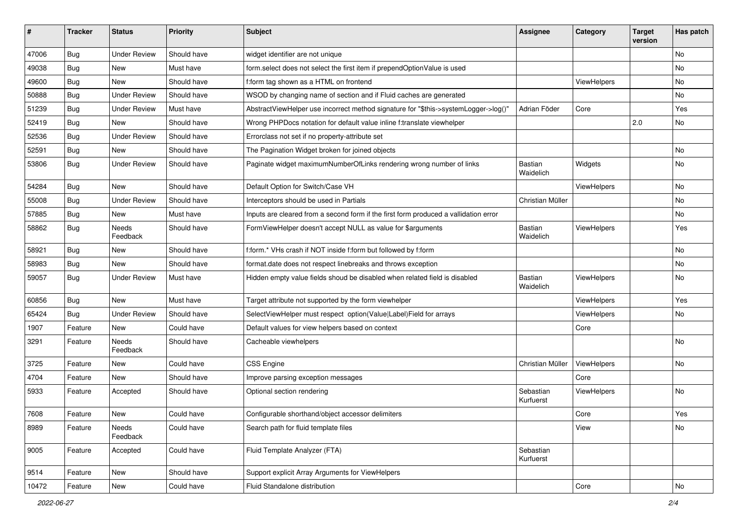| ∦     | <b>Tracker</b> | <b>Status</b>            | <b>Priority</b> | <b>Subject</b>                                                                       | <b>Assignee</b>        | Category    | <b>Target</b><br>version | Has patch |
|-------|----------------|--------------------------|-----------------|--------------------------------------------------------------------------------------|------------------------|-------------|--------------------------|-----------|
| 47006 | Bug            | <b>Under Review</b>      | Should have     | widget identifier are not unique                                                     |                        |             |                          | No        |
| 49038 | Bug            | New                      | Must have       | form.select does not select the first item if prependOptionValue is used             |                        |             |                          | No        |
| 49600 | Bug            | New                      | Should have     | f:form tag shown as a HTML on frontend                                               |                        | ViewHelpers |                          | No        |
| 50888 | Bug            | <b>Under Review</b>      | Should have     | WSOD by changing name of section and if Fluid caches are generated                   |                        |             |                          | No        |
| 51239 | <b>Bug</b>     | <b>Under Review</b>      | Must have       | AbstractViewHelper use incorrect method signature for "\$this->systemLogger->log()"  | Adrian Föder           | Core        |                          | Yes       |
| 52419 | Bug            | <b>New</b>               | Should have     | Wrong PHPDocs notation for default value inline f:translate viewhelper               |                        |             | 2.0                      | No        |
| 52536 | Bug            | <b>Under Review</b>      | Should have     | Errorclass not set if no property-attribute set                                      |                        |             |                          |           |
| 52591 | Bug            | New                      | Should have     | The Pagination Widget broken for joined objects                                      |                        |             |                          | No.       |
| 53806 | Bug            | <b>Under Review</b>      | Should have     | Paginate widget maximumNumberOfLinks rendering wrong number of links                 | Bastian<br>Waidelich   | Widgets     |                          | No        |
| 54284 | Bug            | <b>New</b>               | Should have     | Default Option for Switch/Case VH                                                    |                        | ViewHelpers |                          | No        |
| 55008 | Bug            | <b>Under Review</b>      | Should have     | Interceptors should be used in Partials                                              | Christian Müller       |             |                          | No        |
| 57885 | Bug            | New                      | Must have       | Inputs are cleared from a second form if the first form produced a vallidation error |                        |             |                          | No        |
| 58862 | Bug            | <b>Needs</b><br>Feedback | Should have     | FormViewHelper doesn't accept NULL as value for \$arguments                          | Bastian<br>Waidelich   | ViewHelpers |                          | Yes       |
| 58921 | Bug            | New                      | Should have     | f:form.* VHs crash if NOT inside f:form but followed by f:form                       |                        |             |                          | <b>No</b> |
| 58983 | Bug            | New                      | Should have     | format.date does not respect linebreaks and throws exception                         |                        |             |                          | No        |
| 59057 | <b>Bug</b>     | <b>Under Review</b>      | Must have       | Hidden empty value fields shoud be disabled when related field is disabled           | Bastian<br>Waidelich   | ViewHelpers |                          | No        |
| 60856 | Bug            | <b>New</b>               | Must have       | Target attribute not supported by the form viewhelper                                |                        | ViewHelpers |                          | Yes       |
| 65424 | Bug            | <b>Under Review</b>      | Should have     | SelectViewHelper must respect option(Value Label)Field for arrays                    |                        | ViewHelpers |                          | No        |
| 1907  | Feature        | New                      | Could have      | Default values for view helpers based on context                                     |                        | Core        |                          |           |
| 3291  | Feature        | Needs<br>Feedback        | Should have     | Cacheable viewhelpers                                                                |                        |             |                          | No        |
| 3725  | Feature        | New                      | Could have      | <b>CSS Engine</b>                                                                    | Christian Müller       | ViewHelpers |                          | No        |
| 4704  | Feature        | New                      | Should have     | Improve parsing exception messages                                                   |                        | Core        |                          |           |
| 5933  | Feature        | Accepted                 | Should have     | Optional section rendering                                                           | Sebastian<br>Kurfuerst | ViewHelpers |                          | No        |
| 7608  | Feature        | New                      | Could have      | Configurable shorthand/object accessor delimiters                                    |                        | Core        |                          | Yes       |
| 8989  | Feature        | Needs<br>Feedback        | Could have      | Search path for fluid template files                                                 |                        | View        |                          | No        |
| 9005  | Feature        | Accepted                 | Could have      | Fluid Template Analyzer (FTA)                                                        | Sebastian<br>Kurfuerst |             |                          |           |
| 9514  | Feature        | New                      | Should have     | Support explicit Array Arguments for ViewHelpers                                     |                        |             |                          |           |
| 10472 | Feature        | New                      | Could have      | Fluid Standalone distribution                                                        |                        | Core        |                          | No        |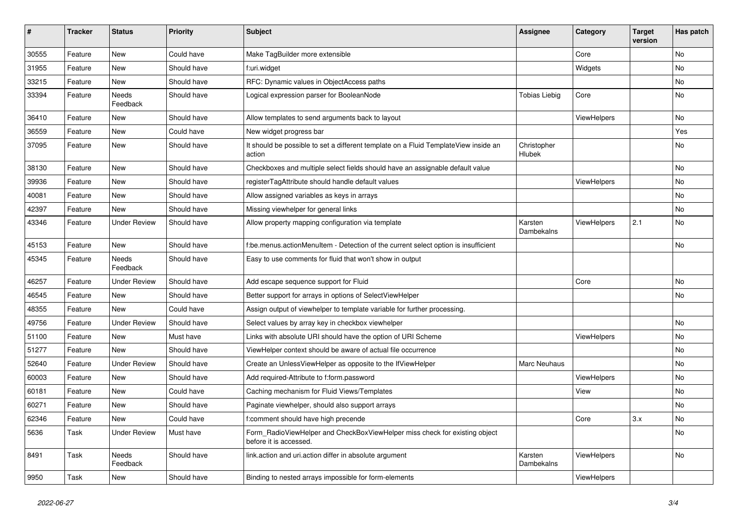| $\#$  | <b>Tracker</b> | <b>Status</b>       | <b>Priority</b> | <b>Subject</b>                                                                                       | <b>Assignee</b>       | Category    | <b>Target</b><br>version | Has patch |
|-------|----------------|---------------------|-----------------|------------------------------------------------------------------------------------------------------|-----------------------|-------------|--------------------------|-----------|
| 30555 | Feature        | New                 | Could have      | Make TagBuilder more extensible                                                                      |                       | Core        |                          | <b>No</b> |
| 31955 | Feature        | New                 | Should have     | f:uri.widget                                                                                         |                       | Widgets     |                          | No        |
| 33215 | Feature        | New                 | Should have     | RFC: Dynamic values in ObjectAccess paths                                                            |                       |             |                          | No        |
| 33394 | Feature        | Needs<br>Feedback   | Should have     | Logical expression parser for BooleanNode                                                            | <b>Tobias Liebig</b>  | Core        |                          | No        |
| 36410 | Feature        | New                 | Should have     | Allow templates to send arguments back to layout                                                     |                       | ViewHelpers |                          | No        |
| 36559 | Feature        | New                 | Could have      | New widget progress bar                                                                              |                       |             |                          | Yes       |
| 37095 | Feature        | New                 | Should have     | It should be possible to set a different template on a Fluid TemplateView inside an<br>action        | Christopher<br>Hlubek |             |                          | No        |
| 38130 | Feature        | New                 | Should have     | Checkboxes and multiple select fields should have an assignable default value                        |                       |             |                          | No        |
| 39936 | Feature        | New                 | Should have     | registerTagAttribute should handle default values                                                    |                       | ViewHelpers |                          | No        |
| 40081 | Feature        | New                 | Should have     | Allow assigned variables as keys in arrays                                                           |                       |             |                          | No        |
| 42397 | Feature        | New                 | Should have     | Missing viewhelper for general links                                                                 |                       |             |                          | No        |
| 43346 | Feature        | <b>Under Review</b> | Should have     | Allow property mapping configuration via template                                                    | Karsten<br>Dambekalns | ViewHelpers | 2.1                      | No        |
| 45153 | Feature        | New                 | Should have     | f:be.menus.actionMenuItem - Detection of the current select option is insufficient                   |                       |             |                          | No        |
| 45345 | Feature        | Needs<br>Feedback   | Should have     | Easy to use comments for fluid that won't show in output                                             |                       |             |                          |           |
| 46257 | Feature        | <b>Under Review</b> | Should have     | Add escape sequence support for Fluid                                                                |                       | Core        |                          | No        |
| 46545 | Feature        | New                 | Should have     | Better support for arrays in options of SelectViewHelper                                             |                       |             |                          | No        |
| 48355 | Feature        | New                 | Could have      | Assign output of viewhelper to template variable for further processing.                             |                       |             |                          |           |
| 49756 | Feature        | <b>Under Review</b> | Should have     | Select values by array key in checkbox viewhelper                                                    |                       |             |                          | No        |
| 51100 | Feature        | New                 | Must have       | Links with absolute URI should have the option of URI Scheme                                         |                       | ViewHelpers |                          | No        |
| 51277 | Feature        | New                 | Should have     | ViewHelper context should be aware of actual file occurrence                                         |                       |             |                          | No        |
| 52640 | Feature        | <b>Under Review</b> | Should have     | Create an UnlessViewHelper as opposite to the IfViewHelper                                           | Marc Neuhaus          |             |                          | No        |
| 60003 | Feature        | New                 | Should have     | Add required-Attribute to f:form.password                                                            |                       | ViewHelpers |                          | No        |
| 60181 | Feature        | New                 | Could have      | Caching mechanism for Fluid Views/Templates                                                          |                       | View        |                          | No        |
| 60271 | Feature        | New                 | Should have     | Paginate viewhelper, should also support arrays                                                      |                       |             |                          | No        |
| 62346 | Feature        | New                 | Could have      | f:comment should have high precende                                                                  |                       | Core        | 3.x                      | No        |
| 5636  | Task           | <b>Under Review</b> | Must have       | Form_RadioViewHelper and CheckBoxViewHelper miss check for existing object<br>before it is accessed. |                       |             |                          | No        |
| 8491  | Task           | Needs<br>Feedback   | Should have     | link.action and uri.action differ in absolute argument                                               | Karsten<br>Dambekalns | ViewHelpers |                          | No        |
| 9950  | Task           | New                 | Should have     | Binding to nested arrays impossible for form-elements                                                |                       | ViewHelpers |                          |           |